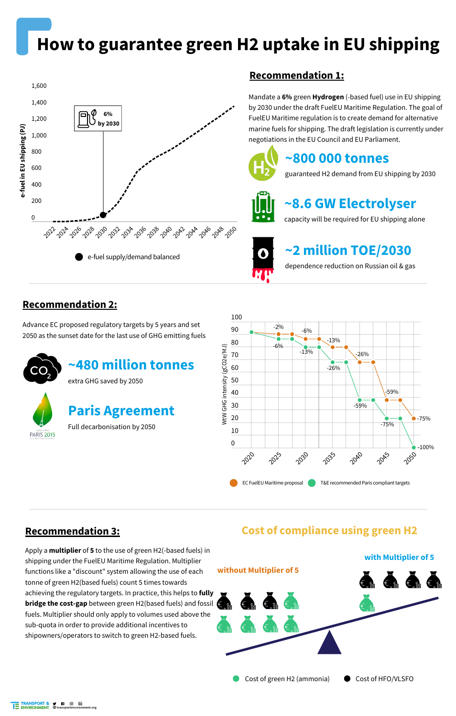## **How to guarantee green H2 uptake in EU shipping**

Advance EC proposed regulatory targets by 5 years and set 2050 as the sunset date for the last use of GHG emitting fuels

#### **Recommendation 2:**







Mandate a **6%** green **Hydrogen** (-based fuel) use in EU shipping by 2030 under the draft FuelEU Maritime Regulation. The goal of FuelEU Maritime regulation is to create demand for alternative marine fuels for shipping. The draft legislation is currently under negotiations in the EU Council and EU Parliament.



#### **Recommendation 1:**

### **~800 000 tonnes**

guaranteed H2 demand from EU shipping by 2030



## **~8.6 GW Electrolyser**

capacity will be required for EU shipping alone



### **~2 million TOE/2030**

dependence reduction on Russian oil & gas





## **Paris Agreement**

Full decarbonisation by 2050

Apply a **multiplier** of **5** to the use of green H2(-based fuels) in shipping under the FuelEU Maritime Regulation. Multiplier functions like a "discount" system allowing the use of each tonne of green H2(based fuels) count 5 times towards achieving the regulatory targets. In practice, this helps to **fully bridge the cost-gap** between green H2(based fuels) and fossil fuels. Multiplier should only apply to volumes used above the sub-quota in order to provide additional incentives to shipowners/operators to switch to green H2-based fuels.

#### **Recommendation 3:**

**Cost of compliance using green H2**



Cost of green H2 (ammonia) Cost of HFO/VLSFO